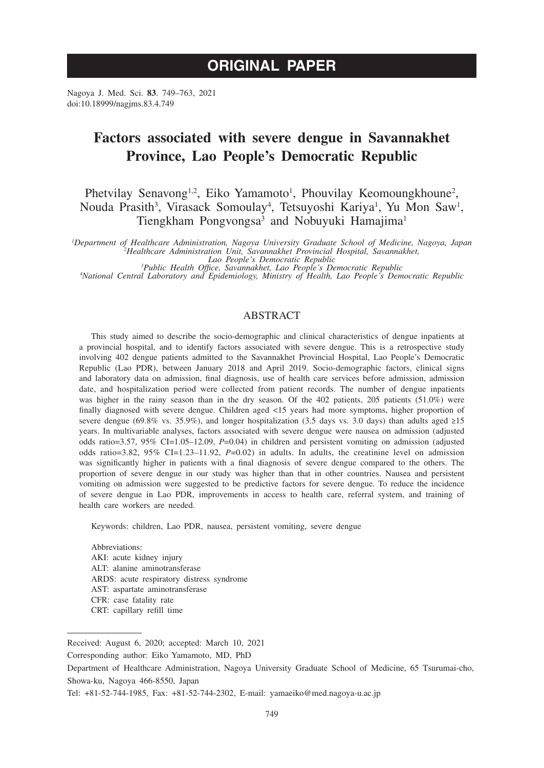# **ORIGINAL PAPER**

Nagoya J. Med. Sci. **83**. 749–763, 2021 doi:10.18999/nagjms.83.4.749

# **Factors associated with severe dengue in Savannakhet Province, Lao People's Democratic Republic**

Phetvilay Senavong<sup>1,2</sup>, Eiko Yamamoto<sup>1</sup>, Phouvilay Keomoungkhoune<sup>2</sup>, Nouda Prasith<sup>3</sup>, Virasack Somoulay<sup>4</sup>, Tetsuyoshi Kariya<sup>1</sup>, Yu Mon Saw<sup>1</sup>, Tiengkham Pongvongsa<sup>3</sup> and Nobuyuki Hamajima<sup>1</sup>

Department of Healthcare Administration, Nagoya University Graduate School of Medicine, Nagoya, Japan<br><sup>2</sup>Healthcare Administration Unit, Savannakhet Provincial Hospital, Savannakhet,<br>Lao People's Democratic Republic<br><sup>3</sup>Pub

*Public Health Office, Savannakhet, Lao People's Democratic Republic <sup>4</sup>*

*National Central Laboratory and Epidemiology, Ministry of Health, Lao People's Democratic Republic*

## ABSTRACT

This study aimed to describe the socio-demographic and clinical characteristics of dengue inpatients at a provincial hospital, and to identify factors associated with severe dengue. This is a retrospective study involving 402 dengue patients admitted to the Savannakhet Provincial Hospital, Lao People's Democratic Republic (Lao PDR), between January 2018 and April 2019. Socio-demographic factors, clinical signs and laboratory data on admission, final diagnosis, use of health care services before admission, admission date, and hospitalization period were collected from patient records. The number of dengue inpatients was higher in the rainy season than in the dry season. Of the 402 patients, 205 patients (51.0%) were finally diagnosed with severe dengue. Children aged <15 years had more symptoms, higher proportion of severe dengue (69.8% vs. 35.9%), and longer hospitalization (3.5 days vs. 3.0 days) than adults aged ≥15 years. In multivariable analyses, factors associated with severe dengue were nausea on admission (adjusted odds ratio=3.57, 95% CI=1.05–12.09, *P*=0.04) in children and persistent vomiting on admission (adjusted odds ratio=3.82, 95% CI=1.23–11.92, *P*=0.02) in adults. In adults, the creatinine level on admission was significantly higher in patients with a final diagnosis of severe dengue compared to the others. The proportion of severe dengue in our study was higher than that in other countries. Nausea and persistent vomiting on admission were suggested to be predictive factors for severe dengue. To reduce the incidence of severe dengue in Lao PDR, improvements in access to health care, referral system, and training of health care workers are needed.

Keywords: children, Lao PDR, nausea, persistent vomiting, severe dengue

Abbreviations: AKI: acute kidney injury ALT: alanine aminotransferase ARDS: acute respiratory distress syndrome AST: aspartate aminotransferase CFR: case fatality rate CRT: capillary refill time

Received: August 6, 2020; accepted: March 10, 2021

Corresponding author: Eiko Yamamoto, MD, PhD

Department of Healthcare Administration, Nagoya University Graduate School of Medicine, 65 Tsurumai-cho, Showa-ku, Nagoya 466-8550, Japan

Tel: +81-52-744-1985, Fax: +81-52-744-2302, E-mail: yamaeiko@med.nagoya-u.ac.jp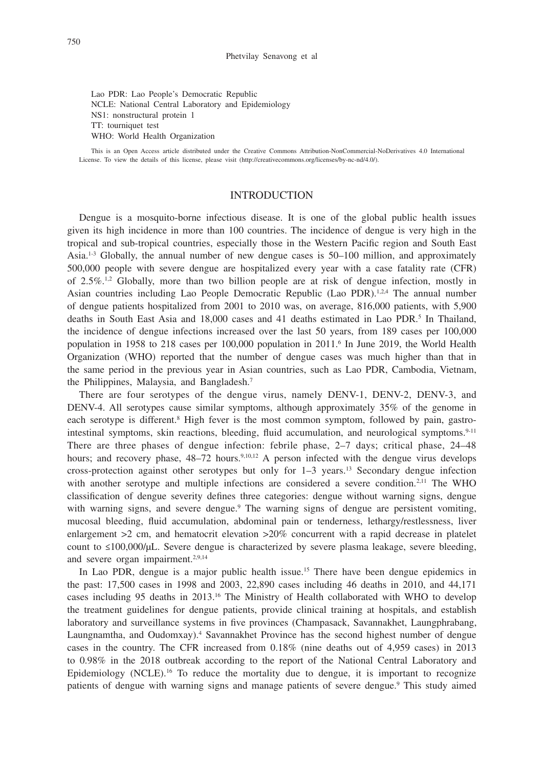Lao PDR: Lao People's Democratic Republic NCLE: National Central Laboratory and Epidemiology NS1: nonstructural protein 1 TT: tourniquet test WHO: World Health Organization

This is an Open Access article distributed under the Creative Commons Attribution-NonCommercial-NoDerivatives 4.0 International License. To view the details of this license, please visit (http://creativecommons.org/licenses/by-nc-nd/4.0/).

## INTRODUCTION

Dengue is a mosquito-borne infectious disease. It is one of the global public health issues given its high incidence in more than 100 countries. The incidence of dengue is very high in the tropical and sub-tropical countries, especially those in the Western Pacific region and South East Asia.<sup>1-3</sup> Globally, the annual number of new dengue cases is 50-100 million, and approximately 500,000 people with severe dengue are hospitalized every year with a case fatality rate (CFR) of  $2.5\%$ <sup>1,2</sup> Globally, more than two billion people are at risk of dengue infection, mostly in Asian countries including Lao People Democratic Republic (Lao PDR).<sup>1,2,4</sup> The annual number of dengue patients hospitalized from 2001 to 2010 was, on average, 816,000 patients, with 5,900 deaths in South East Asia and  $18,000$  cases and  $41$  deaths estimated in Lao PDR.<sup>5</sup> In Thailand, the incidence of dengue infections increased over the last 50 years, from 189 cases per 100,000 population in 1958 to 218 cases per 100,000 population in 2011. In June 2019, the World Health Organization (WHO) reported that the number of dengue cases was much higher than that in the same period in the previous year in Asian countries, such as Lao PDR, Cambodia, Vietnam, the Philippines, Malaysia, and Bangladesh.7

There are four serotypes of the dengue virus, namely DENV-1, DENV-2, DENV-3, and DENV-4. All serotypes cause similar symptoms, although approximately 35% of the genome in each serotype is different.<sup>8</sup> High fever is the most common symptom, followed by pain, gastrointestinal symptoms, skin reactions, bleeding, fluid accumulation, and neurological symptoms.<sup>9-11</sup> There are three phases of dengue infection: febrile phase, 2–7 days; critical phase, 24–48 hours; and recovery phase,  $48-72$  hours.<sup>9,10,12</sup> A person infected with the dengue virus develops cross-protection against other serotypes but only for 1–3 years.13 Secondary dengue infection with another serotype and multiple infections are considered a severe condition.<sup>2,11</sup> The WHO classification of dengue severity defines three categories: dengue without warning signs, dengue with warning signs, and severe dengue.<sup>9</sup> The warning signs of dengue are persistent vomiting, mucosal bleeding, fluid accumulation, abdominal pain or tenderness, lethargy/restlessness, liver enlargement  $>2$  cm, and hematocrit elevation  $>20\%$  concurrent with a rapid decrease in platelet count to  $\leq 100,000/\mu L$ . Severe dengue is characterized by severe plasma leakage, severe bleeding, and severe organ impairment.2,9,14

In Lao PDR, dengue is a major public health issue.15 There have been dengue epidemics in the past: 17,500 cases in 1998 and 2003, 22,890 cases including 46 deaths in 2010, and 44,171 cases including 95 deaths in 2013.16 The Ministry of Health collaborated with WHO to develop the treatment guidelines for dengue patients, provide clinical training at hospitals, and establish laboratory and surveillance systems in five provinces (Champasack, Savannakhet, Laungphrabang, Laungnamtha, and Oudomxay).<sup>4</sup> Savannakhet Province has the second highest number of dengue cases in the country. The CFR increased from 0.18% (nine deaths out of 4,959 cases) in 2013 to 0.98% in the 2018 outbreak according to the report of the National Central Laboratory and Epidemiology (NCLE).<sup>16</sup> To reduce the mortality due to dengue, it is important to recognize patients of dengue with warning signs and manage patients of severe dengue.<sup>9</sup> This study aimed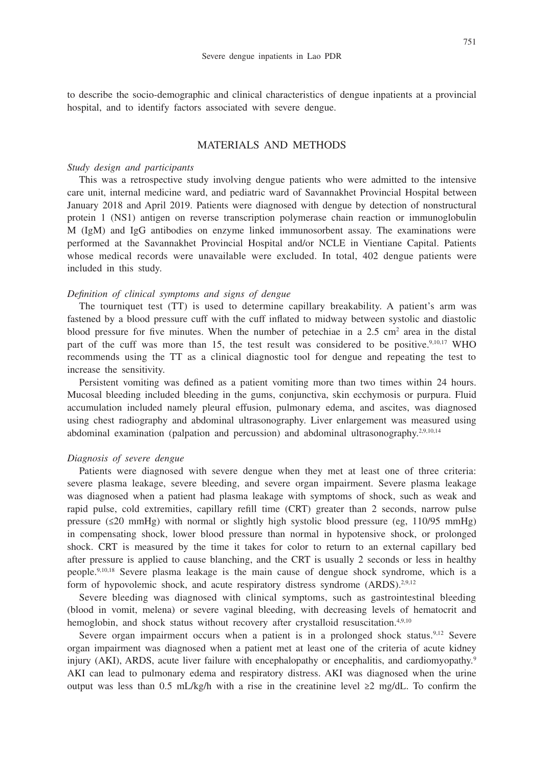to describe the socio-demographic and clinical characteristics of dengue inpatients at a provincial hospital, and to identify factors associated with severe dengue.

## MATERIALS AND METHODS

#### *Study design and participants*

This was a retrospective study involving dengue patients who were admitted to the intensive care unit, internal medicine ward, and pediatric ward of Savannakhet Provincial Hospital between January 2018 and April 2019. Patients were diagnosed with dengue by detection of nonstructural protein 1 (NS1) antigen on reverse transcription polymerase chain reaction or immunoglobulin M (IgM) and IgG antibodies on enzyme linked immunosorbent assay. The examinations were performed at the Savannakhet Provincial Hospital and/or NCLE in Vientiane Capital. Patients whose medical records were unavailable were excluded. In total, 402 dengue patients were included in this study.

## *Definition of clinical symptoms and signs of dengue*

The tourniquet test (TT) is used to determine capillary breakability. A patient's arm was fastened by a blood pressure cuff with the cuff inflated to midway between systolic and diastolic blood pressure for five minutes. When the number of petechiae in a  $2.5 \text{ cm}^2$  area in the distal part of the cuff was more than 15, the test result was considered to be positive.<sup>9,10,17</sup> WHO recommends using the TT as a clinical diagnostic tool for dengue and repeating the test to increase the sensitivity.

Persistent vomiting was defined as a patient vomiting more than two times within 24 hours. Mucosal bleeding included bleeding in the gums, conjunctiva, skin ecchymosis or purpura. Fluid accumulation included namely pleural effusion, pulmonary edema, and ascites, was diagnosed using chest radiography and abdominal ultrasonography. Liver enlargement was measured using abdominal examination (palpation and percussion) and abdominal ultrasonography.<sup>2,9,10,14</sup>

#### *Diagnosis of severe dengue*

Patients were diagnosed with severe dengue when they met at least one of three criteria: severe plasma leakage, severe bleeding, and severe organ impairment. Severe plasma leakage was diagnosed when a patient had plasma leakage with symptoms of shock, such as weak and rapid pulse, cold extremities, capillary refill time (CRT) greater than 2 seconds, narrow pulse pressure ( $\leq 20$  mmHg) with normal or slightly high systolic blood pressure (eg, 110/95 mmHg) in compensating shock, lower blood pressure than normal in hypotensive shock, or prolonged shock. CRT is measured by the time it takes for color to return to an external capillary bed after pressure is applied to cause blanching, and the CRT is usually 2 seconds or less in healthy people.9,10,18 Severe plasma leakage is the main cause of dengue shock syndrome, which is a form of hypovolemic shock, and acute respiratory distress syndrome (ARDS).<sup>2,9,12</sup>

Severe bleeding was diagnosed with clinical symptoms, such as gastrointestinal bleeding (blood in vomit, melena) or severe vaginal bleeding, with decreasing levels of hematocrit and hemoglobin, and shock status without recovery after crystalloid resuscitation.<sup>4,9,10</sup>

Severe organ impairment occurs when a patient is in a prolonged shock status.<sup>9,12</sup> Severe organ impairment was diagnosed when a patient met at least one of the criteria of acute kidney injury (AKI), ARDS, acute liver failure with encephalopathy or encephalitis, and cardiomyopathy.<sup>9</sup> AKI can lead to pulmonary edema and respiratory distress. AKI was diagnosed when the urine output was less than 0.5 mL/kg/h with a rise in the creatinine level  $\geq 2$  mg/dL. To confirm the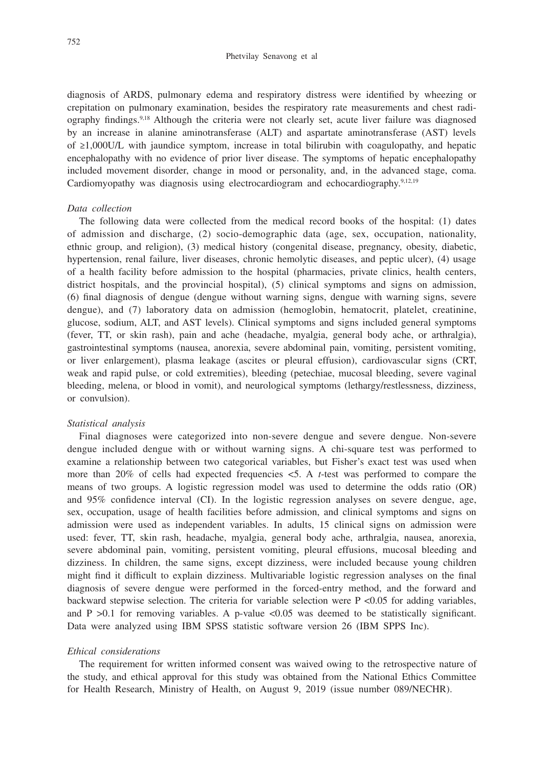diagnosis of ARDS, pulmonary edema and respiratory distress were identified by wheezing or crepitation on pulmonary examination, besides the respiratory rate measurements and chest radiography findings.9,18 Although the criteria were not clearly set, acute liver failure was diagnosed by an increase in alanine aminotransferase (ALT) and aspartate aminotransferase (AST) levels of ≥1,000U/L with jaundice symptom, increase in total bilirubin with coagulopathy, and hepatic encephalopathy with no evidence of prior liver disease. The symptoms of hepatic encephalopathy included movement disorder, change in mood or personality, and, in the advanced stage, coma. Cardiomyopathy was diagnosis using electrocardiogram and echocardiography.<sup>9,12,19</sup>

## *Data collection*

The following data were collected from the medical record books of the hospital: (1) dates of admission and discharge, (2) socio-demographic data (age, sex, occupation, nationality, ethnic group, and religion), (3) medical history (congenital disease, pregnancy, obesity, diabetic, hypertension, renal failure, liver diseases, chronic hemolytic diseases, and peptic ulcer), (4) usage of a health facility before admission to the hospital (pharmacies, private clinics, health centers, district hospitals, and the provincial hospital), (5) clinical symptoms and signs on admission, (6) final diagnosis of dengue (dengue without warning signs, dengue with warning signs, severe dengue), and (7) laboratory data on admission (hemoglobin, hematocrit, platelet, creatinine, glucose, sodium, ALT, and AST levels). Clinical symptoms and signs included general symptoms (fever, TT, or skin rash), pain and ache (headache, myalgia, general body ache, or arthralgia), gastrointestinal symptoms (nausea, anorexia, severe abdominal pain, vomiting, persistent vomiting, or liver enlargement), plasma leakage (ascites or pleural effusion), cardiovascular signs (CRT, weak and rapid pulse, or cold extremities), bleeding (petechiae, mucosal bleeding, severe vaginal bleeding, melena, or blood in vomit), and neurological symptoms (lethargy/restlessness, dizziness, or convulsion).

## *Statistical analysis*

Final diagnoses were categorized into non-severe dengue and severe dengue. Non-severe dengue included dengue with or without warning signs. A chi-square test was performed to examine a relationship between two categorical variables, but Fisher's exact test was used when more than 20% of cells had expected frequencies <5. A *t*-test was performed to compare the means of two groups. A logistic regression model was used to determine the odds ratio (OR) and 95% confidence interval (CI). In the logistic regression analyses on severe dengue, age, sex, occupation, usage of health facilities before admission, and clinical symptoms and signs on admission were used as independent variables. In adults, 15 clinical signs on admission were used: fever, TT, skin rash, headache, myalgia, general body ache, arthralgia, nausea, anorexia, severe abdominal pain, vomiting, persistent vomiting, pleural effusions, mucosal bleeding and dizziness. In children, the same signs, except dizziness, were included because young children might find it difficult to explain dizziness. Multivariable logistic regression analyses on the final diagnosis of severe dengue were performed in the forced-entry method, and the forward and backward stepwise selection. The criteria for variable selection were P <0.05 for adding variables, and  $P > 0.1$  for removing variables. A p-value <0.05 was deemed to be statistically significant. Data were analyzed using IBM SPSS statistic software version 26 (IBM SPPS Inc).

#### *Ethical considerations*

The requirement for written informed consent was waived owing to the retrospective nature of the study, and ethical approval for this study was obtained from the National Ethics Committee for Health Research, Ministry of Health, on August 9, 2019 (issue number 089/NECHR).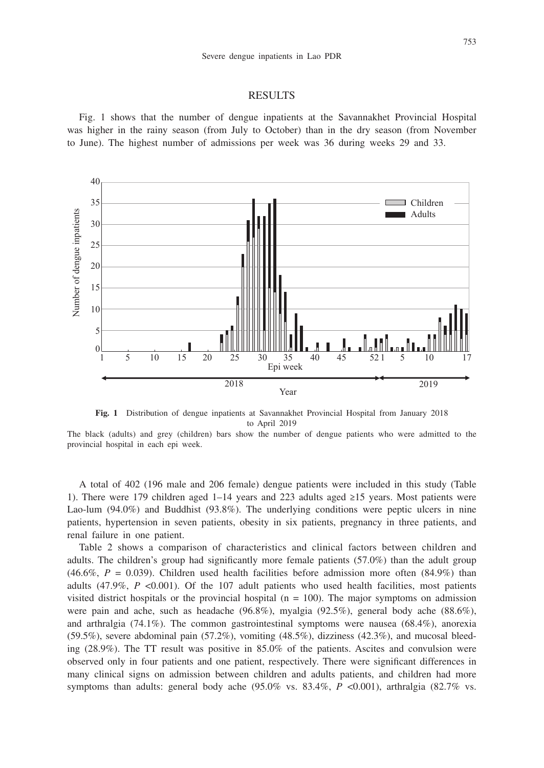#### RESULTS

Fig. 1 shows that the number of dengue inpatients at the Savannakhet Provincial Hospital was higher in the rainy season (from July to October) than in the dry season (from November to June). The highest number of admissions per week was 36 during weeks 29 and 33.



**Fig. 1** Distribution of dengue inpatients at Savannakhet Provincial Hospital from January 2018 to April 2019

The black (adults) and grey (children) bars show the number of dengue patients who were admitted to the

A total of 402 (196 male and 206 female) dengue patients were included in this study (Table 1). There were 179 children aged 1–14 years and 223 adults aged ≥15 years. Most patients were Lao-lum (94.0%) and Buddhist (93.8%). The underlying conditions were peptic ulcers in nine patients, hypertension in seven patients, obesity in six patients, pregnancy in three patients, and renal failure in one patient.

Table 2 shows a comparison of characteristics and clinical factors between children and adults. The children's group had significantly more female patients (57.0%) than the adult group  $(46.6\%, P = 0.039)$ . Children used health facilities before admission more often  $(84.9\%)$  than adults (47.9%, *P* <0.001). Of the 107 adult patients who used health facilities, most patients visited district hospitals or the provincial hospital ( $n = 100$ ). The major symptoms on admission were pain and ache, such as headache (96.8%), myalgia (92.5%), general body ache (88.6%), and arthralgia (74.1%). The common gastrointestinal symptoms were nausea (68.4%), anorexia (59.5%), severe abdominal pain (57.2%), vomiting (48.5%), dizziness (42.3%), and mucosal bleeding (28.9%). The TT result was positive in 85.0% of the patients. Ascites and convulsion were observed only in four patients and one patient, respectively. There were significant differences in many clinical signs on admission between children and adults patients, and children had more symptoms than adults: general body ache (95.0% vs. 83.4%,  $P$  <0.001), arthralgia (82.7% vs.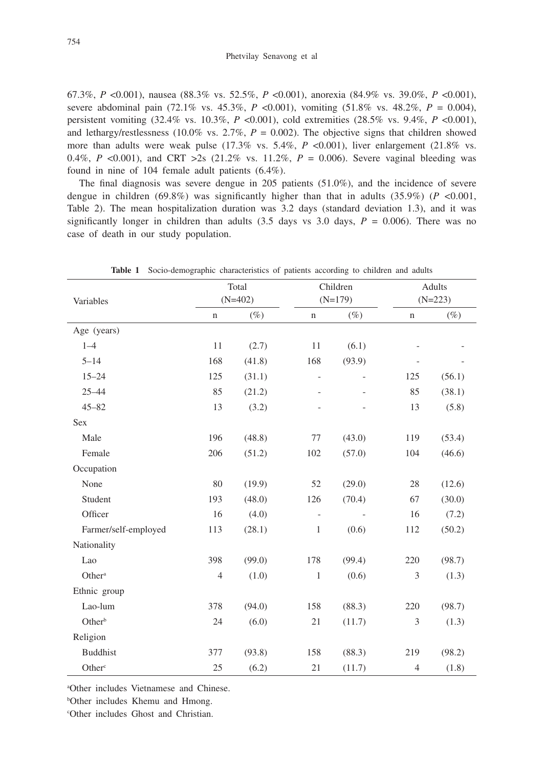67.3%, *P* <0.001), nausea (88.3% vs. 52.5%, *P* <0.001), anorexia (84.9% vs. 39.0%, *P* <0.001), severe abdominal pain  $(72.1\% \text{ vs. } 45.3\%, P < 0.001)$ , vomiting  $(51.8\% \text{ vs. } 48.2\%, P = 0.004)$ , persistent vomiting (32.4% vs. 10.3%, *P* <0.001), cold extremities (28.5% vs. 9.4%, *P* <0.001), and lethargy/restlessness (10.0% vs.  $2.7\%$ ,  $P = 0.002$ ). The objective signs that children showed more than adults were weak pulse  $(17.3\% \text{ vs. } 5.4\%, P < 0.001)$ , liver enlargement  $(21.8\% \text{ vs. } 2.0\%)$ 0.4%, *P* <0.001), and CRT >2s (21.2% vs. 11.2%,  $P = 0.006$ ). Severe vaginal bleeding was found in nine of 104 female adult patients (6.4%).

The final diagnosis was severe dengue in 205 patients (51.0%), and the incidence of severe dengue in children  $(69.8\%)$  was significantly higher than that in adults  $(35.9\%)$  ( $P < 0.001$ , Table 2). The mean hospitalization duration was 3.2 days (standard deviation 1.3), and it was significantly longer in children than adults  $(3.5 \text{ days vs } 3.0 \text{ days}, P = 0.006)$ . There was no case of death in our study population.

|                      |                | Total     |                          | Children  | Adults<br>$(N=223)$         |        |  |
|----------------------|----------------|-----------|--------------------------|-----------|-----------------------------|--------|--|
| Variables            |                | $(N=402)$ |                          | $(N=179)$ |                             |        |  |
|                      | $\mathbf n$    | $(\%)$    | $\mathbf n$              | $(\%)$    | $\mathbf n$                 | $(\%)$ |  |
| Age (years)          |                |           |                          |           |                             |        |  |
| $1 - 4$              | $11\,$         | (2.7)     | 11                       | (6.1)     |                             |        |  |
| $5 - 14$             | 168            | (41.8)    | 168                      | (93.9)    |                             |        |  |
| $15 - 24$            | 125            | (31.1)    | $\overline{\phantom{0}}$ |           | 125                         | (56.1) |  |
| $25 - 44$            | 85             | (21.2)    |                          |           | 85                          | (38.1) |  |
| $45 - 82$            | 13             | (3.2)     |                          |           | 13                          | (5.8)  |  |
| Sex                  |                |           |                          |           |                             |        |  |
| Male                 | 196            | (48.8)    | 77                       | (43.0)    | 119                         | (53.4) |  |
| Female               | 206            | (51.2)    | 102                      | (57.0)    | 104                         | (46.6) |  |
| Occupation           |                |           |                          |           |                             |        |  |
| None                 | 80             | (19.9)    | 52                       | (29.0)    | 28                          | (12.6) |  |
| Student              | 193            | (48.0)    | 126                      | (70.4)    | 67                          | (30.0) |  |
| Officer              | 16             | (4.0)     | $\overline{\phantom{a}}$ |           | 16                          | (7.2)  |  |
| Farmer/self-employed | 113            | (28.1)    | $\mathbf{1}$             | (0.6)     | 112                         | (50.2) |  |
| Nationality          |                |           |                          |           |                             |        |  |
| Lao                  | 398            | (99.0)    | 178                      | (99.4)    | 220                         | (98.7) |  |
| Other <sup>a</sup>   | $\overline{4}$ | (1.0)     | $\mathbf{1}$             | (0.6)     | 3                           | (1.3)  |  |
| Ethnic group         |                |           |                          |           |                             |        |  |
| Lao-lum              | 378            | (94.0)    | 158                      | (88.3)    | 220                         | (98.7) |  |
| Other <sup>b</sup>   | 24             | (6.0)     | 21                       | (11.7)    | $\ensuremath{\mathfrak{Z}}$ | (1.3)  |  |
| Religion             |                |           |                          |           |                             |        |  |
| <b>Buddhist</b>      | 377            | (93.8)    | 158                      | (88.3)    | 219                         | (98.2) |  |
| Other <sup>c</sup>   | 25             | (6.2)     | 21                       | (11.7)    | $\overline{4}$              | (1.8)  |  |

**Table 1** Socio-demographic characteristics of patients according to children and adults

a Other includes Vietnamese and Chinese.

b Other includes Khemu and Hmong.

c Other includes Ghost and Christian.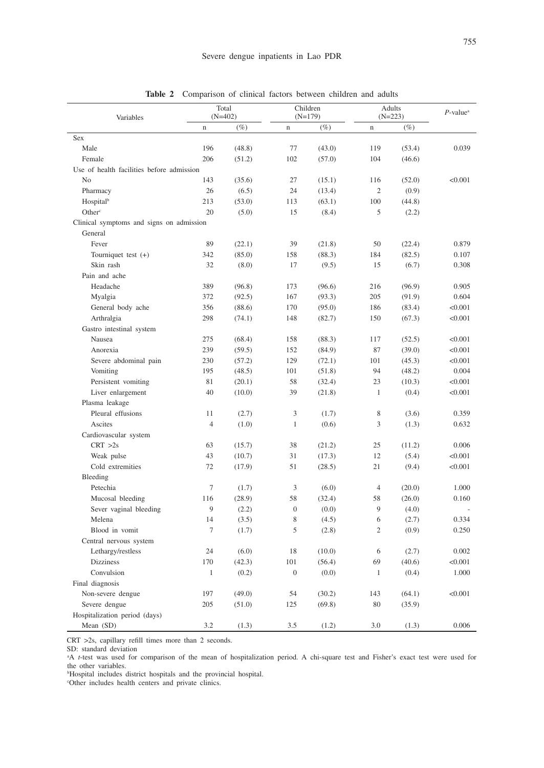| Variables                                 |                | Total<br>$(N=402)$ |                | Children<br>$(N=179)$ | Adults<br>$(N=223)$ | $P$ -value <sup>a</sup> |         |
|-------------------------------------------|----------------|--------------------|----------------|-----------------------|---------------------|-------------------------|---------|
|                                           | $\mathbf n$    | $(\%)$             | $\mathbf n$    | $(\%)$                | $\mathbf n$         | $(\%)$                  |         |
| Sex                                       |                |                    |                |                       |                     |                         |         |
| Male                                      | 196            | (48.8)             | 77             | (43.0)                | 119                 | (53.4)                  | 0.039   |
| Female                                    | 206            | (51.2)             | 102            | (57.0)                | 104                 | (46.6)                  |         |
| Use of health facilities before admission |                |                    |                |                       |                     |                         |         |
| No                                        | 143            | (35.6)             | 27             | (15.1)                | 116                 | (52.0)                  | < 0.001 |
| Pharmacy                                  | 26             | (6.5)              | 24             | (13.4)                | $\overline{c}$      | (0.9)                   |         |
| Hospitalb                                 | 213            | (53.0)             | 113            | (63.1)                | 100                 | (44.8)                  |         |
| Other <sup>c</sup>                        | 20             | (5.0)              | 15             | (8.4)                 | 5                   | (2.2)                   |         |
| Clinical symptoms and signs on admission  |                |                    |                |                       |                     |                         |         |
| General                                   |                |                    |                |                       |                     |                         |         |
| Fever                                     | 89             | (22.1)             | 39             | (21.8)                | 50                  | (22.4)                  | 0.879   |
| Tourniquet test $(+)$                     | 342            | (85.0)             | 158            | (88.3)                | 184                 | (82.5)                  | 0.107   |
| Skin rash                                 | 32             | (8.0)              | 17             | (9.5)                 | 15                  | (6.7)                   | 0.308   |
| Pain and ache                             |                |                    |                |                       |                     |                         |         |
| Headache                                  | 389            | (96.8)             | 173            | (96.6)                | 216                 | (96.9)                  | 0.905   |
| Myalgia                                   | 372            | (92.5)             | 167            | (93.3)                | 205                 | (91.9)                  | 0.604   |
| General body ache                         | 356            | (88.6)             | 170            | (95.0)                | 186                 | (83.4)                  | < 0.001 |
| Arthralgia                                | 298            | (74.1)             | 148            | (82.7)                | 150                 | (67.3)                  | < 0.001 |
| Gastro intestinal system                  |                |                    |                |                       |                     |                         |         |
| Nausea                                    | 275            | (68.4)             | 158            | (88.3)                | 117                 | (52.5)                  | < 0.001 |
| Anorexia                                  | 239            | (59.5)             | 152            | (84.9)                | 87                  | (39.0)                  | < 0.001 |
| Severe abdominal pain                     | 230            | (57.2)             | 129            | (72.1)                | 101                 | (45.3)                  | < 0.001 |
| Vomiting                                  | 195            | (48.5)             | 101            | (51.8)                | 94                  | (48.2)                  | 0.004   |
| Persistent vomiting                       | 81             | (20.1)             | 58             | (32.4)                | 23                  | (10.3)                  | < 0.001 |
| Liver enlargement                         | 40             | (10.0)             | 39             | (21.8)                | $\mathbf{1}$        | (0.4)                   | < 0.001 |
| Plasma leakage                            |                |                    |                |                       |                     |                         |         |
| Pleural effusions                         | 11             | (2.7)              | 3              | (1.7)                 | 8                   | (3.6)                   | 0.359   |
| Ascites                                   | 4              | (1.0)              | $\mathbf{1}$   | (0.6)                 | 3                   | (1.3)                   | 0.632   |
| Cardiovascular system                     |                |                    |                |                       |                     |                         |         |
| CRT > 2s                                  | 63             | (15.7)             | 38             | (21.2)                | 25                  | (11.2)                  | 0.006   |
| Weak pulse                                | 43             | (10.7)             | 31             | (17.3)                | 12                  | (5.4)                   | < 0.001 |
| Cold extremities                          | 72             | (17.9)             | 51             | (28.5)                | 21                  | (9.4)                   | < 0.001 |
| Bleeding                                  |                |                    |                |                       |                     |                         |         |
| Petechia                                  | $\overline{7}$ | (1.7)              | 3              | (6.0)                 | $\overline{4}$      | (20.0)                  | 1.000   |
| Mucosal bleeding                          | 116            | (28.9)             | 58             | (32.4)                | 58                  | (26.0)                  | 0.160   |
| Sever vaginal bleeding                    | 9              | (2.2)              | $\mathbf{0}$   | (0.0)                 | 9                   | (4.0)                   |         |
| Melena                                    | 14             | (3.5)              | 8              | (4.5)                 | 6                   | (2.7)                   | 0.334   |
| Blood in vomit                            | $\tau$         | (1.7)              | 5              | (2.8)                 | $\overline{c}$      | (0.9)                   | 0.250   |
| Central nervous system                    |                |                    |                |                       |                     |                         |         |
| Lethargy/restless                         | 24             | (6.0)              | 18             | (10.0)                | 6                   | (2.7)                   | 0.002   |
| <b>Dizziness</b>                          | 170            | (42.3)             | 101            | (56.4)                | 69                  | (40.6)                  | < 0.001 |
| Convulsion                                | $\mathbf{1}$   | (0.2)              | $\overline{0}$ | (0.0)                 | 1                   | (0.4)                   | 1.000   |
| Final diagnosis                           |                |                    |                |                       |                     |                         |         |
| Non-severe dengue                         | 197            | (49.0)             | 54             | (30.2)                | 143                 | (64.1)                  | < 0.001 |
| Severe dengue                             | 205            | (51.0)             | 125            | (69.8)                | 80                  | (35.9)                  |         |
| Hospitalization period (days)             |                |                    |                |                       |                     |                         |         |
| Mean (SD)                                 | 3.2            | (1.3)              | 3.5            | (1.2)                 | 3.0                 | (1.3)                   | 0.006   |
|                                           |                |                    |                |                       |                     |                         |         |

**Table 2** Comparison of clinical factors between children and adults

CRT >2s, capillary refill times more than 2 seconds.

SD: standard deviation

a A *t*-test was used for comparison of the mean of hospitalization period. A chi-square test and Fisher's exact test were used for the other variables.

b Hospital includes district hospitals and the provincial hospital. c Other includes health centers and private clinics.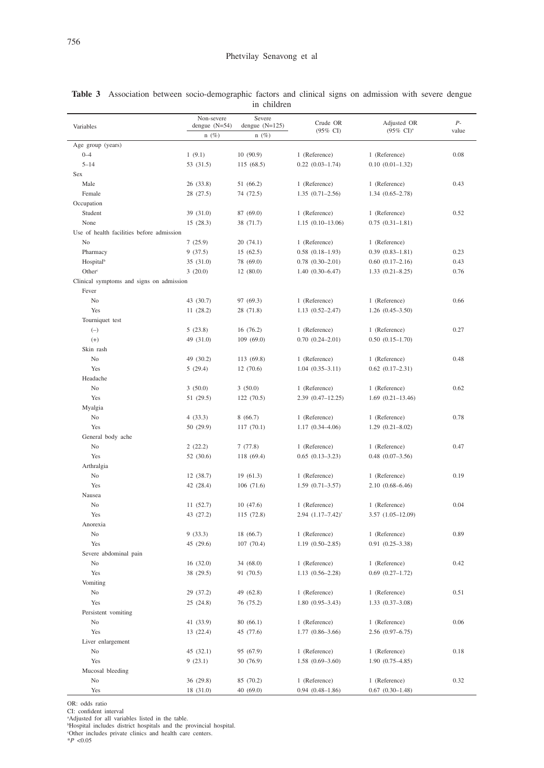|                                           | Non-severe<br>Severe       |                             | Crude OR                                     | Adjusted OR                          | $P-$  |  |
|-------------------------------------------|----------------------------|-----------------------------|----------------------------------------------|--------------------------------------|-------|--|
| Variables                                 | dengue $(N=54)$<br>$n(\%)$ | dengue $(N=125)$<br>$n(\%)$ | $(95\% \text{ CI})$                          | $(95\% \text{ CI})^3$                | value |  |
| Age group (years)                         |                            |                             |                                              |                                      |       |  |
| $0 - 4$                                   | 1(9.1)                     | 10(90.9)                    | 1 (Reference)                                | 1 (Reference)                        | 0.08  |  |
| $5 - 14$                                  | 53 (31.5)                  | 115 (68.5)                  | $0.22$ $(0.03-1.74)$                         | $0.10(0.01 - 1.32)$                  |       |  |
| Sex                                       |                            |                             |                                              |                                      |       |  |
| Male                                      | 26 (33.8)                  | 51 (66.2)                   | 1 (Reference)                                | 1 (Reference)                        | 0.43  |  |
| Female                                    | 28 (27.5)                  | 74 (72.5)                   | $1.35(0.71-2.56)$                            | $1.34(0.65 - 2.78)$                  |       |  |
| Occupation                                |                            |                             |                                              |                                      |       |  |
| Student                                   | 39 (31.0)                  | 87 (69.0)                   | 1 (Reference)                                | 1 (Reference)                        | 0.52  |  |
| None                                      | 15 (28.3)                  | 38 (71.7)                   | $1.15(0.10-13.06)$                           | $0.75(0.31 - 1.81)$                  |       |  |
| Use of health facilities before admission |                            |                             |                                              |                                      |       |  |
| No<br>Pharmacy                            | 7(25.9)                    | 20(74.1)                    | 1 (Reference)                                | 1 (Reference)<br>$0.39(0.83 - 1.81)$ | 0.23  |  |
| Hospitalb                                 | 9(37.5)<br>35 (31.0)       | 15(62.5)<br>78 (69.0)       | $0.58$ $(0.18-1.93)$<br>$0.78$ $(0.30-2.01)$ | $0.60(0.17-2.16)$                    | 0.43  |  |
| Other <sup>c</sup>                        | 3(20.0)                    | 12(80.0)                    | $1.40(0.30 - 6.47)$                          | $1.33(0.21 - 8.25)$                  | 0.76  |  |
| Clinical symptoms and signs on admission  |                            |                             |                                              |                                      |       |  |
| Fever                                     |                            |                             |                                              |                                      |       |  |
| No                                        | 43 (30.7)                  | 97 (69.3)                   | 1 (Reference)                                | 1 (Reference)                        | 0.66  |  |
| Yes                                       | 11 (28.2)                  | 28 (71.8)                   | $1.13(0.52 - 2.47)$                          | $1.26(0.45-3.50)$                    |       |  |
| Tourniquet test                           |                            |                             |                                              |                                      |       |  |
| $(-)$                                     | 5(23.8)                    | 16(76.2)                    | 1 (Reference)                                | 1 (Reference)                        | 0.27  |  |
| $(+)$                                     | 49 (31.0)                  | 109(69.0)                   | $0.70(0.24 - 2.01)$                          | $0.50(0.15-1.70)$                    |       |  |
| Skin rash                                 |                            |                             |                                              |                                      |       |  |
| No                                        | 49 (30.2)                  | 113 (69.8)                  | 1 (Reference)                                | 1 (Reference)                        | 0.48  |  |
| Yes                                       | 5(29.4)                    | 12(70.6)                    | $1.04(0.35-3.11)$                            | $0.62$ $(0.17-2.31)$                 |       |  |
| Headache                                  |                            |                             |                                              |                                      |       |  |
| No                                        | 3(50.0)                    | 3(50.0)                     | 1 (Reference)                                | 1 (Reference)                        | 0.62  |  |
| Yes                                       | 51 (29.5)                  | 122(70.5)                   | $2.39(0.47 - 12.25)$                         | $1.69$ $(0.21-13.46)$                |       |  |
| Myalgia                                   |                            |                             |                                              |                                      |       |  |
| No                                        | 4(33.3)                    | 8(66.7)                     | 1 (Reference)                                | 1 (Reference)                        | 0.78  |  |
| Yes<br>General body ache                  | 50 (29.9)                  | 117(70.1)                   | $1.17(0.34 - 4.06)$                          | $1.29(0.21 - 8.02)$                  |       |  |
| No                                        | 2(22.2)                    | 7(77.8)                     | 1 (Reference)                                | 1 (Reference)                        | 0.47  |  |
| Yes                                       | 52 (30.6)                  | 118 (69.4)                  | $0.65$ $(0.13 - 3.23)$                       | $0.48$ $(0.07-3.56)$                 |       |  |
| Arthralgia                                |                            |                             |                                              |                                      |       |  |
| No                                        | 12 (38.7)                  | 19(61.3)                    | 1 (Reference)                                | 1 (Reference)                        | 0.19  |  |
| Yes                                       | 42 (28.4)                  | 106(71.6)                   | $1.59(0.71 - 3.57)$                          | $2.10(0.68 - 6.46)$                  |       |  |
| Nausea                                    |                            |                             |                                              |                                      |       |  |
| No                                        | 11(52.7)                   | 10(47.6)                    | 1 (Reference)                                | 1 (Reference)                        | 0.04  |  |
| Yes                                       | 43 (27.2)                  | 115 (72.8)                  | $2.94$ $(1.17-7.42)^{*}$                     | $3.57(1.05-12.09)$                   |       |  |
| Anorexia                                  |                            |                             |                                              |                                      |       |  |
| No                                        | 9(33.3)                    | 18 (66.7)                   | 1 (Reference)                                | 1 (Reference)                        | 0.89  |  |
| Yes                                       | 45 (29.6)                  | 107(70.4)                   | $1.19(0.50-2.85)$                            | $0.91(0.25 - 3.38)$                  |       |  |
| Severe abdominal pain                     |                            |                             |                                              |                                      |       |  |
| No                                        | 16 (32.0)                  | 34 (68.0)                   | 1 (Reference)                                | 1 (Reference)                        | 0.42  |  |
| Yes                                       | 38 (29.5)                  | 91 (70.5)                   | $1.13(0.56-2.28)$                            | $0.69$ $(0.27-1.72)$                 |       |  |
| Vomiting                                  |                            |                             |                                              |                                      |       |  |
| No                                        | 29 (37.2)                  | 49 (62.8)                   | 1 (Reference)<br>$1.80(0.95 - 3.43)$         | 1 (Reference)<br>$1.33(0.37-3.08)$   | 0.51  |  |
| Yes<br>Persistent vomiting                | 25 (24.8)                  | 76 (75.2)                   |                                              |                                      |       |  |
| No                                        | 41 (33.9)                  | 80 (66.1)                   | 1 (Reference)                                | 1 (Reference)                        | 0.06  |  |
| Yes                                       | 13 (22.4)                  | 45 (77.6)                   | $1.77(0.86 - 3.66)$                          | 2.56 (0.97-6.75)                     |       |  |
| Liver enlargement                         |                            |                             |                                              |                                      |       |  |
| No                                        | 45 (32.1)                  | 95 (67.9)                   | 1 (Reference)                                | 1 (Reference)                        | 0.18  |  |
| Yes                                       | 9(23.1)                    | 30 (76.9)                   | $1.58(0.69 - 3.60)$                          | $1.90(0.75 - 4.85)$                  |       |  |
| Mucosal bleeding                          |                            |                             |                                              |                                      |       |  |
| No                                        | 36 (29.8)                  | 85 (70.2)                   | 1 (Reference)                                | 1 (Reference)                        | 0.32  |  |
| Yes                                       | 18 (31.0)                  | 40(69.0)                    | $0.94(0.48 - 1.86)$                          | $0.67$ $(0.30-1.48)$                 |       |  |

|             |  |  | Table 3 Association between socio-demographic factors and clinical signs on admission with severe dengue |  |  |  |  |  |  |  |  |  |
|-------------|--|--|----------------------------------------------------------------------------------------------------------|--|--|--|--|--|--|--|--|--|
| in children |  |  |                                                                                                          |  |  |  |  |  |  |  |  |  |

OR: odds ratio<br>CI: confident interval<br>"Adjusted for all variables listed in the table.<br>"Hospital includes district hospitals and the provincial hospital.<br>"Other includes private clinics and health care centers.<br>"P <0.05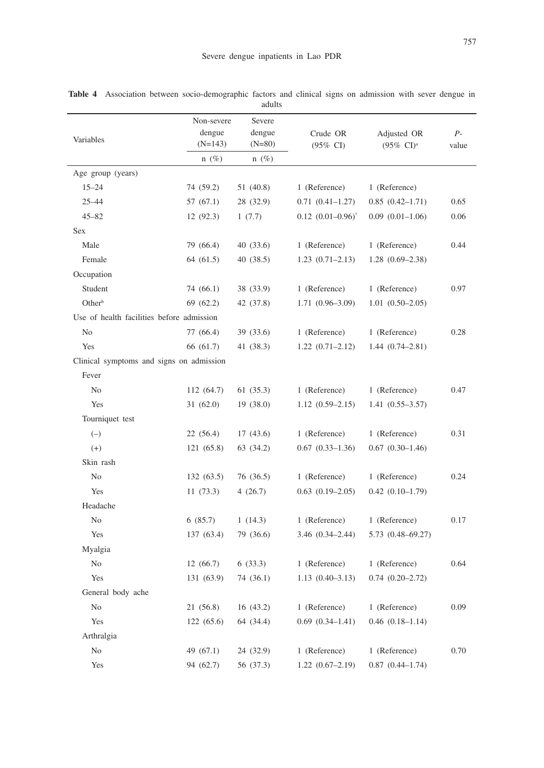| I | ×           | I |
|---|-------------|---|
|   | I<br>۰<br>× | ۰ |

|                                           |                                   | adults                       |                                 |                                               |               |
|-------------------------------------------|-----------------------------------|------------------------------|---------------------------------|-----------------------------------------------|---------------|
| Variables                                 | Non-severe<br>dengue<br>$(N=143)$ | Severe<br>dengue<br>$(N=80)$ | Crude OR<br>$(95\% \text{ CI})$ | Adjusted OR<br>$(95\% \text{ CI})^{\text{a}}$ | $P-$<br>value |
|                                           | $n(\%)$                           | $n(\%)$                      |                                 |                                               |               |
| Age group (years)                         |                                   |                              |                                 |                                               |               |
| $15 - 24$                                 | 74 (59.2)                         | 51 (40.8)                    | 1 (Reference)                   | 1 (Reference)                                 |               |
| $25 - 44$                                 | 57 (67.1)                         | 28 (32.9)                    | $0.71(0.41 - 1.27)$             | $0.85(0.42 - 1.71)$                           | 0.65          |
| $45 - 82$                                 | 12 (92.3)                         | 1(7.7)                       | $0.12$ $(0.01-0.96)^*$          | $0.09(0.01-1.06)$                             | 0.06          |
| <b>Sex</b>                                |                                   |                              |                                 |                                               |               |
| Male                                      | 79 (66.4)                         | 40(33.6)                     | 1 (Reference)                   | 1 (Reference)                                 | 0.44          |
| Female                                    | 64 (61.5)                         | 40 (38.5)                    | $1.23(0.71 - 2.13)$             | $1.28(0.69-2.38)$                             |               |
| Occupation                                |                                   |                              |                                 |                                               |               |
| Student                                   | 74 (66.1)                         | 38 (33.9)                    | 1 (Reference)                   | 1 (Reference)                                 | 0.97          |
| Other <sup>b</sup>                        | 69 (62.2)                         | 42 (37.8)                    | $1.71(0.96 - 3.09)$             | $1.01(0.50-2.05)$                             |               |
| Use of health facilities before admission |                                   |                              |                                 |                                               |               |
| No                                        | 77 (66.4)                         | 39 (33.6)                    | 1 (Reference)                   | 1 (Reference)                                 | 0.28          |
| Yes                                       | 66 (61.7)                         | 41(38.3)                     | $1.22(0.71-2.12)$               | $1.44(0.74 - 2.81)$                           |               |
| Clinical symptoms and signs on admission  |                                   |                              |                                 |                                               |               |
| Fever                                     |                                   |                              |                                 |                                               |               |
| No.                                       | 112 (64.7)                        | 61(35.3)                     | 1 (Reference)                   | 1 (Reference)                                 | 0.47          |
| Yes                                       | 31(62.0)                          | 19(38.0)                     | $1.12(0.59-2.15)$               | $1.41(0.55 - 3.57)$                           |               |
| Tourniquet test                           |                                   |                              |                                 |                                               |               |
| $(-)$                                     | 22(56.4)                          | 17(43.6)                     | 1 (Reference)                   | 1 (Reference)                                 | 0.31          |
| $(+)$                                     | 121 (65.8)                        | 63 (34.2)                    | $0.67(0.33-1.36)$               | $0.67(0.30-1.46)$                             |               |
| Skin rash                                 |                                   |                              |                                 |                                               |               |
| No.                                       | 132(63.5)                         | 76 (36.5)                    | 1 (Reference)                   | 1 (Reference)                                 | 0.24          |
| Yes                                       | 11(73.3)                          | 4(26.7)                      | $0.63$ $(0.19-2.05)$            | $0.42(0.10-1.79)$                             |               |
| Headache                                  |                                   |                              |                                 |                                               |               |
| No.                                       | 6(85.7)                           | 1(14.3)                      | 1 (Reference)                   | 1 (Reference)                                 | 0.17          |
| Yes                                       | 137 (63.4)                        | 79 (36.6)                    | $3.46(0.34 - 2.44)$             | 5.73 (0.48-69.27)                             |               |
| Myalgia                                   |                                   |                              |                                 |                                               |               |
| N <sub>0</sub>                            | 12(66.7)                          | 6(33.3)                      | 1 (Reference)                   | 1 (Reference)                                 | 0.64          |
| Yes                                       | 131 (63.9)                        | 74 (36.1)                    | $1.13(0.40-3.13)$               | $0.74$ $(0.20-2.72)$                          |               |
| General body ache                         |                                   |                              |                                 |                                               |               |
| $\rm No$                                  | 21(56.8)                          | 16(43.2)                     | 1 (Reference)                   | 1 (Reference)                                 | 0.09          |
| Yes                                       | 122(65.6)                         | 64 (34.4)                    | $0.69$ $(0.34-1.41)$            | $0.46$ $(0.18-1.14)$                          |               |
| Arthralgia                                |                                   |                              |                                 |                                               |               |
| No                                        | 49 (67.1)                         | 24 (32.9)                    | 1 (Reference)                   | 1 (Reference)                                 | 0.70          |
| Yes                                       | 94 (62.7)                         | 56 (37.3)                    | $1.22(0.67 - 2.19)$             | $0.87$ $(0.44 - 1.74)$                        |               |

**Table 4** Association between socio-demographic factors and clinical signs on admission with sever dengue in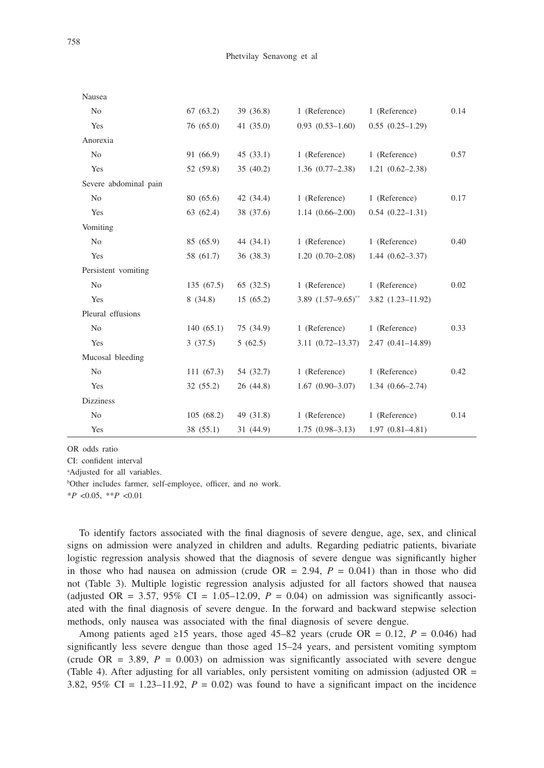| Nausea                |           |             |                       |                      |      |
|-----------------------|-----------|-------------|-----------------------|----------------------|------|
| N <sub>o</sub>        | 67(63.2)  | 39 (36.8)   | 1 (Reference)         | 1 (Reference)        | 0.14 |
| Yes                   | 76(65.0)  | 41(35.0)    | $0.93(0.53-1.60)$     | $0.55(0.25-1.29)$    |      |
| Anorexia              |           |             |                       |                      |      |
| No                    | 91 (66.9) | 45(33.1)    | 1 (Reference)         | 1 (Reference)        | 0.57 |
| Yes                   | 52 (59.8) | 35(40.2)    | $1.36(0.77-2.38)$     | $1.21(0.62 - 2.38)$  |      |
| Severe abdominal pain |           |             |                       |                      |      |
| N <sub>o</sub>        | 80 (65.6) | 42 (34.4)   | 1 (Reference)         | 1 (Reference)        | 0.17 |
| Yes                   | 63(62.4)  | 38 (37.6)   | $1.14(0.66 - 2.00)$   | $0.54(0.22 - 1.31)$  |      |
| Vomiting              |           |             |                       |                      |      |
| N <sub>o</sub>        | 85 (65.9) | 44 $(34.1)$ | 1 (Reference)         | 1 (Reference)        | 0.40 |
| Yes                   | 58 (61.7) | 36(38.3)    | $1.20(0.70-2.08)$     | $1.44(0.62 - 3.37)$  |      |
| Persistent vomiting   |           |             |                       |                      |      |
| N <sub>o</sub>        | 135(67.5) | 65(32.5)    | 1 (Reference)         | 1 (Reference)        | 0.02 |
| Yes                   | 8(34.8)   | 15(65.2)    | 3.89 $(1.57-9.65)$ ** | $3.82(1.23 - 11.92)$ |      |
| Pleural effusions     |           |             |                       |                      |      |
| N <sub>o</sub>        | 140(65.1) | 75 (34.9)   | 1 (Reference)         | 1 (Reference)        | 0.33 |
| Yes                   | 3(37.5)   | 5(62.5)     | $3.11(0.72 - 13.37)$  | $2.47(0.41 - 14.89)$ |      |
| Mucosal bleeding      |           |             |                       |                      |      |
| N <sub>o</sub>        | 111(67.3) | 54 (32.7)   | 1 (Reference)         | 1 (Reference)        | 0.42 |
| Yes                   | 32(55.2)  | 26(44.8)    | $1.67(0.90-3.07)$     | $1.34(0.66 - 2.74)$  |      |
| <b>Dizziness</b>      |           |             |                       |                      |      |
| N <sub>o</sub>        | 105(68.2) | 49 (31.8)   | 1 (Reference)         | 1 (Reference)        | 0.14 |
| Yes                   | 38 (55.1) | 31 (44.9)   | $1.75(0.98-3.13)$     | $1.97(0.81 - 4.81)$  |      |

OR odds ratio

CI: confident interval

a Adjusted for all variables.

b Other includes farmer, self-employee, officer, and no work.

\**P* <0.05, \*\**P* <0.01

To identify factors associated with the final diagnosis of severe dengue, age, sex, and clinical signs on admission were analyzed in children and adults. Regarding pediatric patients, bivariate logistic regression analysis showed that the diagnosis of severe dengue was significantly higher in those who had nausea on admission (crude  $OR = 2.94$ ,  $P = 0.041$ ) than in those who did not (Table 3). Multiple logistic regression analysis adjusted for all factors showed that nausea (adjusted OR = 3.57, 95% CI = 1.05–12.09,  $P = 0.04$ ) on admission was significantly associated with the final diagnosis of severe dengue. In the forward and backward stepwise selection methods, only nausea was associated with the final diagnosis of severe dengue.

Among patients aged ≥15 years, those aged 45–82 years (crude OR =  $0.12$ ,  $P = 0.046$ ) had significantly less severe dengue than those aged 15–24 years, and persistent vomiting symptom (crude OR = 3.89,  $P = 0.003$ ) on admission was significantly associated with severe dengue (Table 4). After adjusting for all variables, only persistent vomiting on admission (adjusted OR = 3.82, 95% CI = 1.23–11.92,  $P = 0.02$ ) was found to have a significant impact on the incidence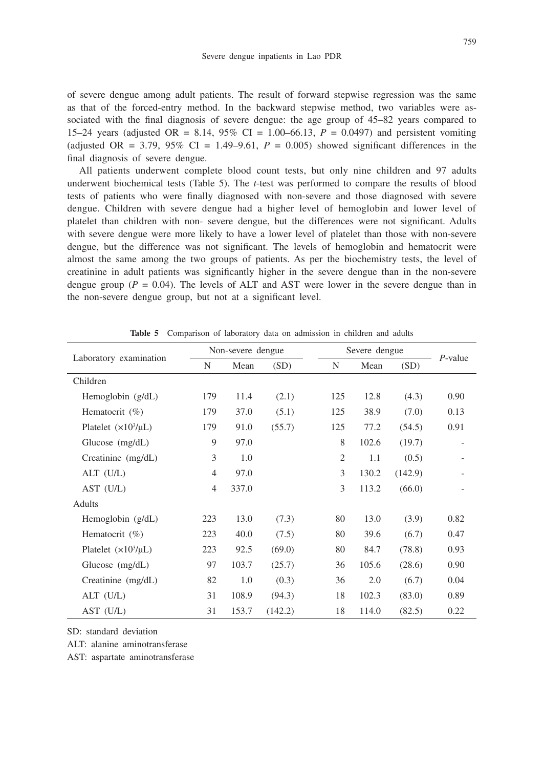of severe dengue among adult patients. The result of forward stepwise regression was the same as that of the forced-entry method. In the backward stepwise method, two variables were associated with the final diagnosis of severe dengue: the age group of 45–82 years compared to 15–24 years (adjusted OR = 8.14, 95% CI = 1.00–66.13, *P* = 0.0497) and persistent vomiting (adjusted OR = 3.79,  $95\%$  CI = 1.49–9.61,  $P = 0.005$ ) showed significant differences in the final diagnosis of severe dengue.

All patients underwent complete blood count tests, but only nine children and 97 adults underwent biochemical tests (Table 5). The *t*-test was performed to compare the results of blood tests of patients who were finally diagnosed with non-severe and those diagnosed with severe dengue. Children with severe dengue had a higher level of hemoglobin and lower level of platelet than children with non- severe dengue, but the differences were not significant. Adults with severe dengue were more likely to have a lower level of platelet than those with non-severe dengue, but the difference was not significant. The levels of hemoglobin and hematocrit were almost the same among the two groups of patients. As per the biochemistry tests, the level of creatinine in adult patients was significantly higher in the severe dengue than in the non-severe dengue group ( $P = 0.04$ ). The levels of ALT and AST were lower in the severe dengue than in the non-severe dengue group, but not at a significant level.

|                          | Non-severe dengue |       |         |                | Severe dengue |         |            |  |
|--------------------------|-------------------|-------|---------|----------------|---------------|---------|------------|--|
| Laboratory examination   | N                 | Mean  | (SD)    | N              | Mean          | (SD)    | $P$ -value |  |
| Children                 |                   |       |         |                |               |         |            |  |
| Hemoglobin $(g/dL)$      | 179               | 11.4  | (2.1)   | 125            | 12.8          | (4.3)   | 0.90       |  |
| Hematocrit $(\%)$        | 179               | 37.0  | (5.1)   | 125            | 38.9          | (7.0)   | 0.13       |  |
| Platelet $(x10^3/\mu L)$ | 179               | 91.0  | (55.7)  | 125            | 77.2          | (54.5)  | 0.91       |  |
| Glucose (mg/dL)          | 9                 | 97.0  |         | 8              | 102.6         | (19.7)  |            |  |
| Creatinine (mg/dL)       | 3                 | 1.0   |         | $\mathfrak{2}$ | 1.1           | (0.5)   |            |  |
| $ALT$ (U/L)              | $\overline{4}$    | 97.0  |         | 3              | 130.2         | (142.9) |            |  |
| AST (U/L)                | $\overline{4}$    | 337.0 |         | 3              | 113.2         | (66.0)  |            |  |
| Adults                   |                   |       |         |                |               |         |            |  |
| Hemoglobin $(g/dL)$      | 223               | 13.0  | (7.3)   | 80             | 13.0          | (3.9)   | 0.82       |  |
| Hematocrit $(\%)$        | 223               | 40.0  | (7.5)   | 80             | 39.6          | (6.7)   | 0.47       |  |
| Platelet $(x10^3/\mu L)$ | 223               | 92.5  | (69.0)  | 80             | 84.7          | (78.8)  | 0.93       |  |
| Glucose (mg/dL)          | 97                | 103.7 | (25.7)  | 36             | 105.6         | (28.6)  | 0.90       |  |
| Creatinine (mg/dL)       | 82                | 1.0   | (0.3)   | 36             | 2.0           | (6.7)   | 0.04       |  |
| $ALT$ (U/L)              | 31                | 108.9 | (94.3)  | 18             | 102.3         | (83.0)  | 0.89       |  |
| $AST$ $(U/L)$            | 31                | 153.7 | (142.2) | 18             | 114.0         | (82.5)  | 0.22       |  |

**Table 5** Comparison of laboratory data on admission in children and adults

SD: standard deviation

ALT: alanine aminotransferase

AST: aspartate aminotransferase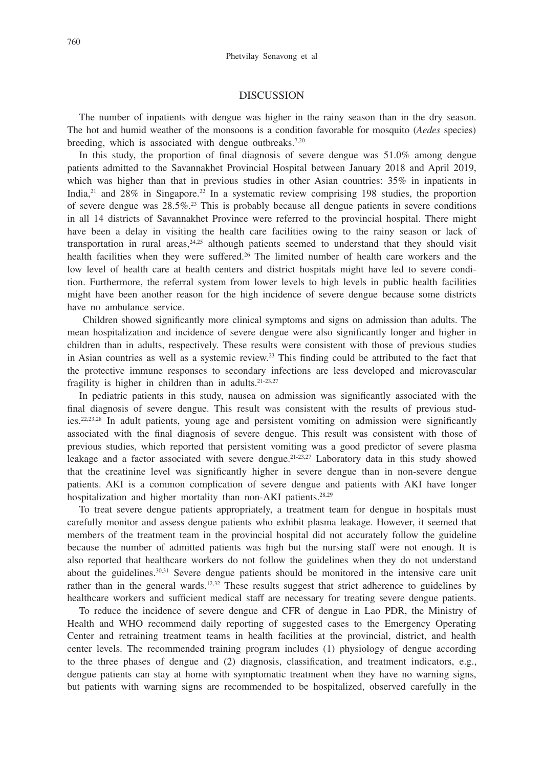## DISCUSSION

The number of inpatients with dengue was higher in the rainy season than in the dry season. The hot and humid weather of the monsoons is a condition favorable for mosquito (*Aedes* species) breeding, which is associated with dengue outbreaks.<sup>7,20</sup>

In this study, the proportion of final diagnosis of severe dengue was  $51.0\%$  among dengue patients admitted to the Savannakhet Provincial Hospital between January 2018 and April 2019, which was higher than that in previous studies in other Asian countries: 35% in inpatients in India, $^{21}$  and 28% in Singapore.<sup>22</sup> In a systematic review comprising 198 studies, the proportion of severe dengue was  $28.5\%$ <sup>23</sup>. This is probably because all dengue patients in severe conditions in all 14 districts of Savannakhet Province were referred to the provincial hospital. There might have been a delay in visiting the health care facilities owing to the rainy season or lack of transportation in rural areas, $24.25$  although patients seemed to understand that they should visit health facilities when they were suffered.<sup>26</sup> The limited number of health care workers and the low level of health care at health centers and district hospitals might have led to severe condition. Furthermore, the referral system from lower levels to high levels in public health facilities might have been another reason for the high incidence of severe dengue because some districts have no ambulance service.

 Children showed significantly more clinical symptoms and signs on admission than adults. The mean hospitalization and incidence of severe dengue were also significantly longer and higher in children than in adults, respectively. These results were consistent with those of previous studies in Asian countries as well as a systemic review.23 This finding could be attributed to the fact that the protective immune responses to secondary infections are less developed and microvascular fragility is higher in children than in adults.<sup>21-23,27</sup>

In pediatric patients in this study, nausea on admission was significantly associated with the final diagnosis of severe dengue. This result was consistent with the results of previous studies.22,23,28 In adult patients, young age and persistent vomiting on admission were significantly associated with the final diagnosis of severe dengue. This result was consistent with those of previous studies, which reported that persistent vomiting was a good predictor of severe plasma leakage and a factor associated with severe dengue.<sup>21-23,27</sup> Laboratory data in this study showed that the creatinine level was significantly higher in severe dengue than in non-severe dengue patients. AKI is a common complication of severe dengue and patients with AKI have longer hospitalization and higher mortality than non-AKI patients.<sup>28,29</sup>

To treat severe dengue patients appropriately, a treatment team for dengue in hospitals must carefully monitor and assess dengue patients who exhibit plasma leakage. However, it seemed that members of the treatment team in the provincial hospital did not accurately follow the guideline because the number of admitted patients was high but the nursing staff were not enough. It is also reported that healthcare workers do not follow the guidelines when they do not understand about the guidelines. $30,31$  Severe dengue patients should be monitored in the intensive care unit rather than in the general wards.<sup>12,32</sup> These results suggest that strict adherence to guidelines by healthcare workers and sufficient medical staff are necessary for treating severe dengue patients.

To reduce the incidence of severe dengue and CFR of dengue in Lao PDR, the Ministry of Health and WHO recommend daily reporting of suggested cases to the Emergency Operating Center and retraining treatment teams in health facilities at the provincial, district, and health center levels. The recommended training program includes (1) physiology of dengue according to the three phases of dengue and (2) diagnosis, classification, and treatment indicators, e.g., dengue patients can stay at home with symptomatic treatment when they have no warning signs, but patients with warning signs are recommended to be hospitalized, observed carefully in the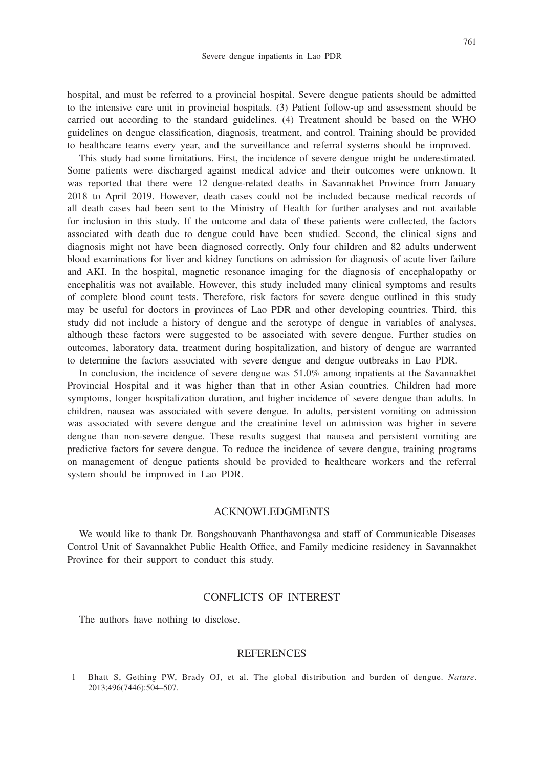hospital, and must be referred to a provincial hospital. Severe dengue patients should be admitted to the intensive care unit in provincial hospitals. (3) Patient follow-up and assessment should be carried out according to the standard guidelines. (4) Treatment should be based on the WHO guidelines on dengue classification, diagnosis, treatment, and control. Training should be provided to healthcare teams every year, and the surveillance and referral systems should be improved.

This study had some limitations. First, the incidence of severe dengue might be underestimated. Some patients were discharged against medical advice and their outcomes were unknown. It was reported that there were 12 dengue-related deaths in Savannakhet Province from January 2018 to April 2019. However, death cases could not be included because medical records of all death cases had been sent to the Ministry of Health for further analyses and not available for inclusion in this study. If the outcome and data of these patients were collected, the factors associated with death due to dengue could have been studied. Second, the clinical signs and diagnosis might not have been diagnosed correctly. Only four children and 82 adults underwent blood examinations for liver and kidney functions on admission for diagnosis of acute liver failure and AKI. In the hospital, magnetic resonance imaging for the diagnosis of encephalopathy or encephalitis was not available. However, this study included many clinical symptoms and results of complete blood count tests. Therefore, risk factors for severe dengue outlined in this study may be useful for doctors in provinces of Lao PDR and other developing countries. Third, this study did not include a history of dengue and the serotype of dengue in variables of analyses, although these factors were suggested to be associated with severe dengue. Further studies on outcomes, laboratory data, treatment during hospitalization, and history of dengue are warranted to determine the factors associated with severe dengue and dengue outbreaks in Lao PDR.

In conclusion, the incidence of severe dengue was 51.0% among inpatients at the Savannakhet Provincial Hospital and it was higher than that in other Asian countries. Children had more symptoms, longer hospitalization duration, and higher incidence of severe dengue than adults. In children, nausea was associated with severe dengue. In adults, persistent vomiting on admission was associated with severe dengue and the creatinine level on admission was higher in severe dengue than non-severe dengue. These results suggest that nausea and persistent vomiting are predictive factors for severe dengue. To reduce the incidence of severe dengue, training programs on management of dengue patients should be provided to healthcare workers and the referral system should be improved in Lao PDR.

#### ACKNOWLEDGMENTS

We would like to thank Dr. Bongshouvanh Phanthavongsa and staff of Communicable Diseases Control Unit of Savannakhet Public Health Office, and Family medicine residency in Savannakhet Province for their support to conduct this study.

## CONFLICTS OF INTEREST

The authors have nothing to disclose.

#### REFERENCES

1 Bhatt S, Gething PW, Brady OJ, et al. The global distribution and burden of dengue. *Nature*. 2013;496(7446):504–507.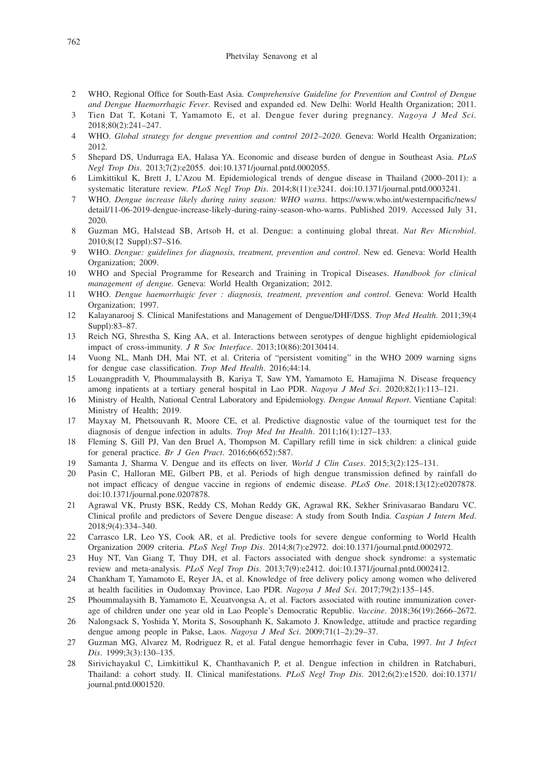#### Phetvilay Senavong et al

- 2 WHO, Regional Office for South-East Asia. *Comprehensive Guideline for Prevention and Control of Dengue and Dengue Haemorrhagic Fever*. Revised and expanded ed. New Delhi: World Health Organization; 2011.
- 3 Tien Dat T, Kotani T, Yamamoto E, et al. Dengue fever during pregnancy. *Nagoya J Med Sci*. 2018;80(2):241–247.
- 4 WHO. *Global strategy for dengue prevention and control 2012–2020*. Geneva: World Health Organization; 2012.
- 5 Shepard DS, Undurraga EA, Halasa YA. Economic and disease burden of dengue in Southeast Asia. *PLoS Negl Trop Dis*. 2013;7(2):e2055. doi:10.1371/journal.pntd.0002055.
- 6 Limkittikul K, Brett J, L'Azou M. Epidemiological trends of dengue disease in Thailand (2000–2011): a systematic literature review. *PLoS Negl Trop Dis*. 2014;8(11):e3241. doi:10.1371/journal.pntd.0003241.
- 7 WHO. *Dengue increase likely during rainy season: WHO warns*. https://www.who.int/westernpacific/news/ detail/11-06-2019-dengue-increase-likely-during-rainy-season-who-warns. Published 2019. Accessed July 31, 2020.
- 8 Guzman MG, Halstead SB, Artsob H, et al. Dengue: a continuing global threat. *Nat Rev Microbiol*. 2010;8(12 Suppl):S7–S16.
- 9 WHO. *Dengue: guidelines for diagnosis, treatment, prevention and control*. New ed. Geneva: World Health Organization; 2009.
- 10 WHO and Special Programme for Research and Training in Tropical Diseases. *Handbook for clinical management of dengue*. Geneva: World Health Organization; 2012.
- 11 WHO. *Dengue haemorrhagic fever : diagnosis, treatment, prevention and control*. Geneva: World Health Organization; 1997.
- 12 Kalayanarooj S. Clinical Manifestations and Management of Dengue/DHF/DSS. *Trop Med Health*. 2011;39(4 Suppl):83–87.
- 13 Reich NG, Shrestha S, King AA, et al. Interactions between serotypes of dengue highlight epidemiological impact of cross-immunity. *J R Soc Interface*. 2013;10(86):20130414.
- 14 Vuong NL, Manh DH, Mai NT, et al. Criteria of "persistent vomiting" in the WHO 2009 warning signs for dengue case classification. *Trop Med Health*. 2016;44:14.
- 15 Louangpradith V, Phoummalaysith B, Kariya T, Saw YM, Yamamoto E, Hamajima N. Disease frequency among inpatients at a tertiary general hospital in Lao PDR. *Nagoya J Med Sci*. 2020;82(1):113–121.
- 16 Ministry of Health, National Central Laboratory and Epidemiology. *Dengue Annual Report*. Vientiane Capital: Ministry of Health; 2019.
- 17 Mayxay M, Phetsouvanh R, Moore CE, et al. Predictive diagnostic value of the tourniquet test for the diagnosis of dengue infection in adults. *Trop Med Int Health*. 2011;16(1):127–133.
- 18 Fleming S, Gill PJ, Van den Bruel A, Thompson M. Capillary refill time in sick children: a clinical guide for general practice. *Br J Gen Pract*. 2016;66(652):587.
- 19 Samanta J, Sharma V. Dengue and its effects on liver. *World J Clin Cases*. 2015;3(2):125–131.
- 20 Pasin C, Halloran ME, Gilbert PB, et al. Periods of high dengue transmission defined by rainfall do not impact efficacy of dengue vaccine in regions of endemic disease. *PLoS One*. 2018;13(12):e0207878. doi:10.1371/journal.pone.0207878.
- 21 Agrawal VK, Prusty BSK, Reddy CS, Mohan Reddy GK, Agrawal RK, Sekher Srinivasarao Bandaru VC. Clinical profile and predictors of Severe Dengue disease: A study from South India. *Caspian J Intern Med*. 2018;9(4):334–340.
- 22 Carrasco LR, Leo YS, Cook AR, et al. Predictive tools for severe dengue conforming to World Health Organization 2009 criteria. *PLoS Negl Trop Dis*. 2014;8(7):e2972. doi:10.1371/journal.pntd.0002972.
- 23 Huy NT, Van Giang T, Thuy DH, et al. Factors associated with dengue shock syndrome: a systematic review and meta-analysis. *PLoS Negl Trop Dis*. 2013;7(9):e2412. doi:10.1371/journal.pntd.0002412.
- 24 Chankham T, Yamamoto E, Reyer JA, et al. Knowledge of free delivery policy among women who delivered at health facilities in Oudomxay Province, Lao PDR. *Nagoya J Med Sci*. 2017;79(2):135–145.
- 25 Phoummalaysith B, Yamamoto E, Xeuatvongsa A, et al. Factors associated with routine immunization coverage of children under one year old in Lao People's Democratic Republic. *Vaccine*. 2018;36(19):2666–2672.
- 26 Nalongsack S, Yoshida Y, Morita S, Sosouphanh K, Sakamoto J. Knowledge, attitude and practice regarding dengue among people in Pakse, Laos. *Nagoya J Med Sci*. 2009;71(1–2):29–37.
- 27 Guzman MG, Alvarez M, Rodriguez R, et al. Fatal dengue hemorrhagic fever in Cuba, 1997. *Int J Infect Dis*. 1999;3(3):130–135.
- 28 Sirivichayakul C, Limkittikul K, Chanthavanich P, et al. Dengue infection in children in Ratchaburi, Thailand: a cohort study. II. Clinical manifestations. *PLoS Negl Trop Dis*. 2012;6(2):e1520. doi:10.1371/ journal.pntd.0001520.